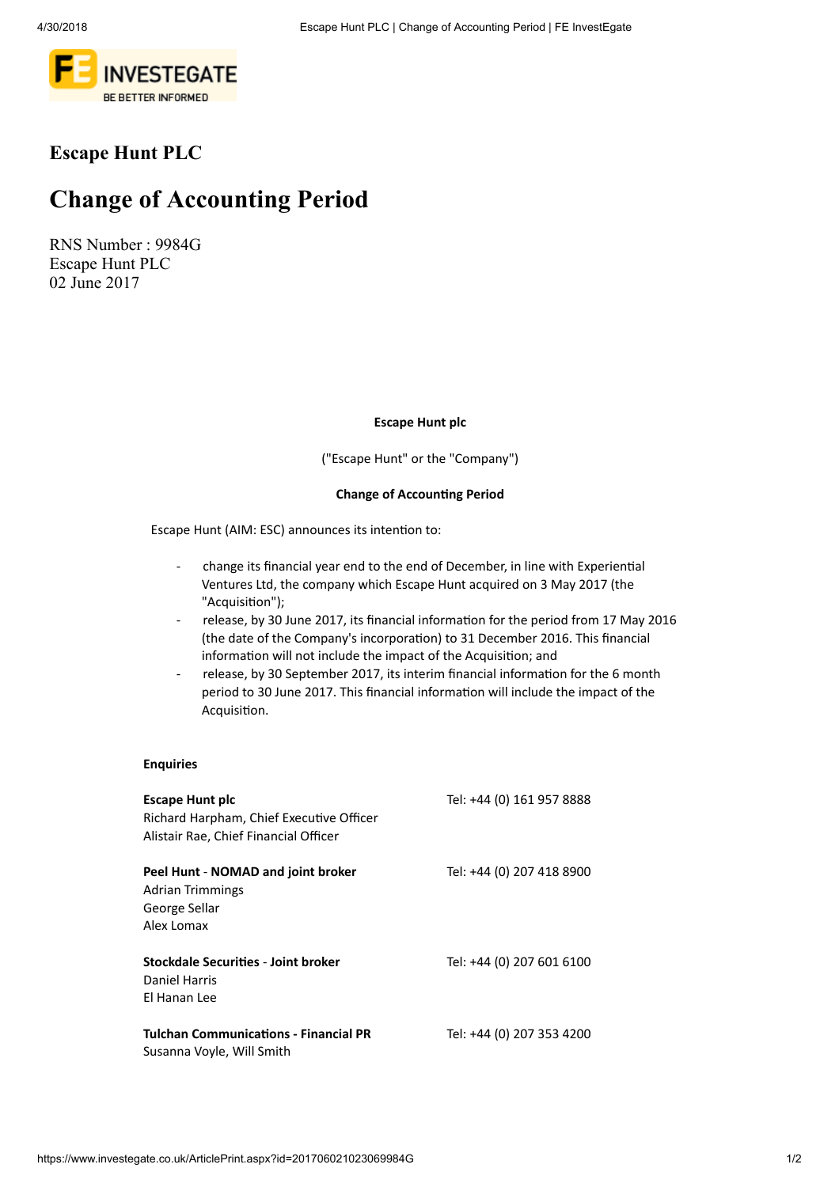

## Escape Hunt PLC

# Change of Accounting Period

RNS Number : 9984G Escape Hunt PLC 02 June 2017

Escape Hunt plc

("Escape Hunt" or the "Company")

#### Change of Accounting Period

Escape Hunt (AIM: ESC) announces its intention to:

- change its financial year end to the end of December, in line with Experiential Ventures Ltd, the company which Escape Hunt acquired on 3 May 2017 (the "Acquisition");
- release, by 30 June 2017, its financial information for the period from 17 May 2016 (the date of the Company's incorporation) to 31 December 2016. This financial information will not include the impact of the Acquisition; and
- release, by 30 September 2017, its interim financial information for the 6 month period to 30 June 2017. This financial information will include the impact of the Acquisition.

#### Enquiries

| <b>Escape Hunt plc</b><br>Richard Harpham, Chief Executive Officer<br>Alistair Rae, Chief Financial Officer | Tel: +44 (0) 161 957 8888 |
|-------------------------------------------------------------------------------------------------------------|---------------------------|
| Peel Hunt - NOMAD and joint broker<br><b>Adrian Trimmings</b><br>George Sellar<br>Alex Lomax                | Tel: +44 (0) 207 418 8900 |
| Stockdale Securities - Joint broker<br>Daniel Harris<br>El Hanan Lee                                        | Tel: +44 (0) 207 601 6100 |
| <b>Tulchan Communications - Financial PR</b><br>Susanna Voyle, Will Smith                                   | Tel: +44 (0) 207 353 4200 |